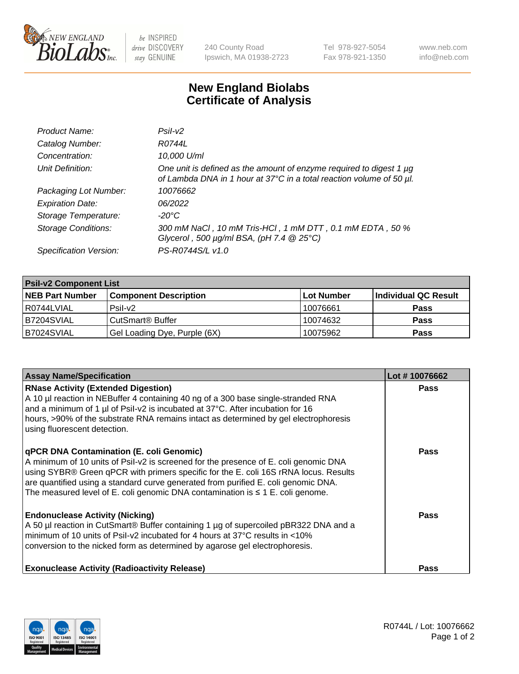

 $be$  INSPIRED drive DISCOVERY stay GENUINE

240 County Road Ipswich, MA 01938-2723 Tel 978-927-5054 Fax 978-921-1350 www.neb.com info@neb.com

## **New England Biolabs Certificate of Analysis**

| Product Name:              | Psi2                                                                                                                                        |
|----------------------------|---------------------------------------------------------------------------------------------------------------------------------------------|
| Catalog Number:            | R0744L                                                                                                                                      |
| Concentration:             | 10,000 U/ml                                                                                                                                 |
| Unit Definition:           | One unit is defined as the amount of enzyme required to digest 1 µg<br>of Lambda DNA in 1 hour at 37°C in a total reaction volume of 50 µl. |
| Packaging Lot Number:      | 10076662                                                                                                                                    |
| <b>Expiration Date:</b>    | 06/2022                                                                                                                                     |
| Storage Temperature:       | $-20^{\circ}$ C                                                                                                                             |
| <b>Storage Conditions:</b> | 300 mM NaCl, 10 mM Tris-HCl, 1 mM DTT, 0.1 mM EDTA, 50 %<br>Glycerol, 500 $\mu$ g/ml BSA, (pH 7.4 $@25°C$ )                                 |
| Specification Version:     | PS-R0744S/L v1.0                                                                                                                            |

| <b>Psil-v2 Component List</b> |                              |            |                      |  |  |
|-------------------------------|------------------------------|------------|----------------------|--|--|
| <b>NEB Part Number</b>        | <b>Component Description</b> | Lot Number | Individual QC Result |  |  |
| l R0744LVIAL                  | $P$ sil-v $2$                | 10076661   | <b>Pass</b>          |  |  |
| <b>B7204SVIAL</b>             | CutSmart <sup>®</sup> Buffer | 10074632   | <b>Pass</b>          |  |  |
| B7024SVIAL                    | Gel Loading Dye, Purple (6X) | 10075962   | <b>Pass</b>          |  |  |

| <b>Assay Name/Specification</b>                                                                                                                                                                                                                                                                                                                                                                       | Lot #10076662 |
|-------------------------------------------------------------------------------------------------------------------------------------------------------------------------------------------------------------------------------------------------------------------------------------------------------------------------------------------------------------------------------------------------------|---------------|
| <b>RNase Activity (Extended Digestion)</b><br>A 10 µl reaction in NEBuffer 4 containing 40 ng of a 300 base single-stranded RNA<br>and a minimum of 1 $\mu$ of Psil-v2 is incubated at 37 $\degree$ C. After incubation for 16<br>hours, >90% of the substrate RNA remains intact as determined by gel electrophoresis<br>using fluorescent detection.                                                | <b>Pass</b>   |
| qPCR DNA Contamination (E. coli Genomic)<br>A minimum of 10 units of Psil-v2 is screened for the presence of E. coli genomic DNA<br>using SYBR® Green qPCR with primers specific for the E. coli 16S rRNA locus. Results<br>are quantified using a standard curve generated from purified E. coli genomic DNA.<br>The measured level of E. coli genomic DNA contamination is $\leq 1$ E. coli genome. | <b>Pass</b>   |
| <b>Endonuclease Activity (Nicking)</b><br>A 50 µl reaction in CutSmart® Buffer containing 1 µg of supercoiled pBR322 DNA and a<br>minimum of 10 units of Psil-v2 incubated for 4 hours at 37°C results in <10%<br>conversion to the nicked form as determined by agarose gel electrophoresis.                                                                                                         | <b>Pass</b>   |
| <b>Exonuclease Activity (Radioactivity Release)</b>                                                                                                                                                                                                                                                                                                                                                   | <b>Pass</b>   |